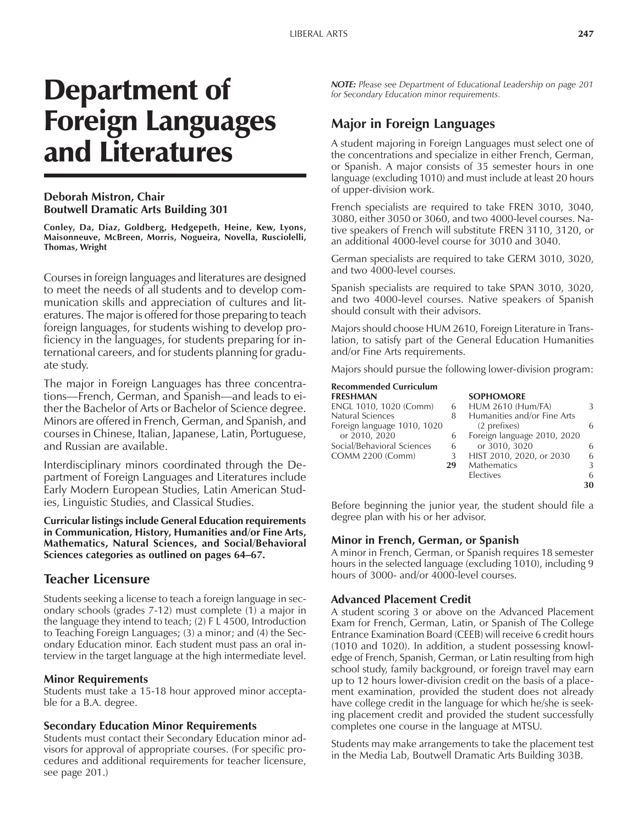# Department of Foreign Languages and Literatures

### **Deborah Mistron, Chair Boutwell Dramatic Arts Building 301**

**Conley, Da, Diaz, Goldberg, Hedgepeth, Heine, Kew, Lyons, Maisonneuve, McBreen, Morris, Nogueira, Novella, Rusciolelli, Thomas, Wright**

Courses in foreign languages and literatures are designed to meet the needs of all students and to develop communication skills and appreciation of cultures and literatures. The major is offered for those preparing to teach foreign languages, for students wishing to develop proficiency in the languages, for students preparing for international careers, and for students planning for graduate study.

The major in Foreign Languages has three concentrations—French, German, and Spanish—and leads to either the Bachelor of Arts or Bachelor of Science degree. Minors are offered in French, German, and Spanish, and courses in Chinese, Italian, Japanese, Latin, Portuguese, and Russian are available.

Interdisciplinary minors coordinated through the Department of Foreign Languages and Literatures include Early Modern European Studies, Latin American Studies, Linguistic Studies, and Classical Studies.

**Curricular listings include General Education requirements in Communication, History, Humanities and/or Fine Arts, Mathematics, Natural Sciences, and Social/Behavioral** Sciences categories as outlined on pages 64–67.

# **Teacher Licensure**

Students seeking a license to teach a foreign language in secondary schools (grades 7-12) must complete (1) a major in the language they intend to teach; (2) F L 4500, Introduction to Teaching Foreign Languages; (3) a minor; and (4) the Secondary Education minor. Each student must pass an oral interview in the target language at the high intermediate level.

# **Minor Requirements**

Students must take a 15-18 hour approved minor acceptable for a B.A. degree.

#### **Secondary Education Minor Requirements**

Students must contact their Secondary Education minor advisors for approval of appropriate courses. (For specific procedures and additional requirements for teacher licensure, see page 201.)

*NOTE: Please see Department of Educational Leadership on page 201 for Secondary Education minor requirements.*

# **Major in Foreign Languages**

A student majoring in Foreign Languages must select one of the concentrations and specialize in either French, German, or Spanish. A major consists of 35 semester hours in one language (excluding 1010) and must include at least 20 hours of upper-division work.

French specialists are required to take FREN 3010, 3040, 3080, either 3050 or 3060, and two 4000-level courses. Native speakers of French will substitute FREN 3110, 3120, or an additional 4000-level course for 3010 and 3040.

German specialists are required to take GERM 3010, 3020, and two 4000-level courses.

Spanish specialists are required to take SPAN 3010, 3020, and two 4000-level courses. Native speakers of Spanish should consult with their advisors.

Majors should choose HUM 2610, Foreign Literature in Translation, to satisfy part of the General Education Humanities and/or Fine Arts requirements.

Majors should pursue the following lower-division program:

#### **Recommended Curriculum**

| <b>FRESHMAN</b>             |    | <b>SOPHOMORE</b>            |    |
|-----------------------------|----|-----------------------------|----|
| ENGL 1010, 1020 (Comm)      | 6  | <b>HUM 2610 (Hum/FA)</b>    | 3  |
| <b>Natural Sciences</b>     | 8  | Humanities and/or Fine Arts |    |
| Foreign language 1010, 1020 |    | (2 prefixes)                | 6  |
| or 2010, 2020               | 6  | Foreign language 2010, 2020 |    |
| Social/Behavioral Sciences  | 6  | or 3010, 3020               | 6  |
| <b>COMM 2200 (Comm)</b>     | 3  | HIST 2010, 2020, or 2030    | 6  |
|                             | 29 | <b>Mathematics</b>          | 3  |
|                             |    | <b>Electives</b>            | 6  |
|                             |    |                             | 30 |

Before beginning the junior year, the student should file a degree plan with his or her advisor.

#### **Minor in French, German, or Spanish**

A minor in French, German, or Spanish requires 18 semester hours in the selected language (excluding 1010), including 9 hours of 3000- and/or 4000-level courses.

#### **Advanced Placement Credit**

A student scoring 3 or above on the Advanced Placement Exam for French, German, Latin, or Spanish of The College Entrance Examination Board (CEEB) will receive 6 credit hours (1010 and 1020). In addition, a student possessing knowledge of French, Spanish, German, or Latin resulting from high school study, family background, or foreign travel may earn up to 12 hours lower-division credit on the basis of a placement examination, provided the student does not already have college credit in the language for which he/she is seeking placement credit and provided the student successfully completes one course in the language at MTSU.

Students may make arrangements to take the placement test in the Media Lab, Boutwell Dramatic Arts Building 303B.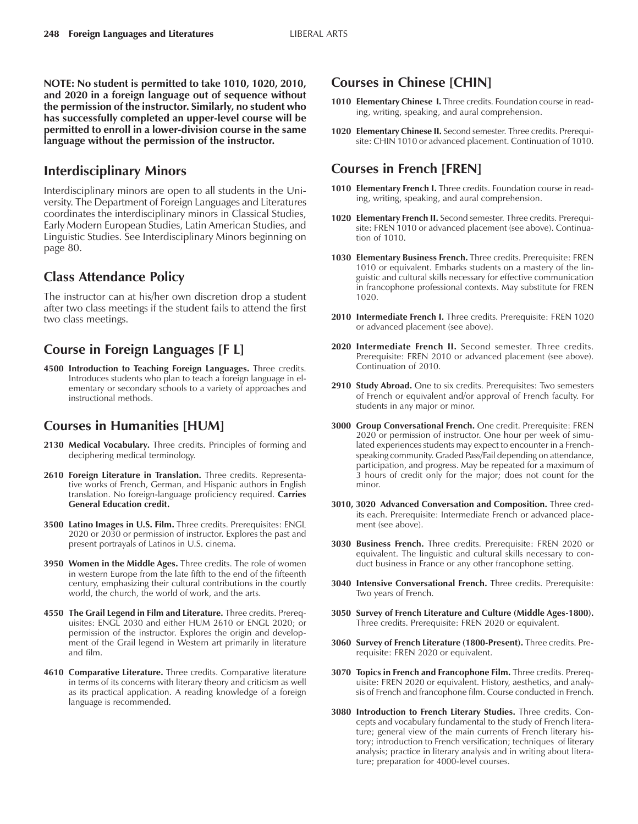**NOTE: No student is permitted to take 1010, 1020, 2010, and 2020 in a foreign language out of sequence without the permission of the instructor. Similarly, no student who has successfully completed an upper-level course will be permitted to enroll in a lower-division course in the same language without the permission of the instructor.**

# **Interdisciplinary Minors**

Interdisciplinary minors are open to all students in the University. The Department of Foreign Languages and Literatures coordinates the interdisciplinary minors in Classical Studies, Early Modern European Studies, Latin American Studies, and Linguistic Studies. See Interdisciplinary Minors beginning on page 80.

# **Class Attendance Policy**

The instructor can at his/her own discretion drop a student after two class meetings if the student fails to attend the first two class meetings.

# **Course in Foreign Languages [F L]**

**4500 Introduction to Teaching Foreign Languages.** Three credits. Introduces students who plan to teach a foreign language in elementary or secondary schools to a variety of approaches and instructional methods.

# **Courses in Humanities [HUM]**

- **2130 Medical Vocabulary.** Three credits. Principles of forming and deciphering medical terminology.
- **2610 Foreign Literature in Translation.** Three credits. Representative works of French, German, and Hispanic authors in English translation. No foreign-language proficiency required. **Carries General Education credit.**
- **3500 Latino Images in U.S. Film.** Three credits. Prerequisites: ENGL 2020 or 2030 or permission of instructor. Explores the past and present portrayals of Latinos in U.S. cinema.
- **3950 Women in the Middle Ages.** Three credits. The role of women in western Europe from the late fifth to the end of the fifteenth century, emphasizing their cultural contributions in the courtly world, the church, the world of work, and the arts.
- **4550 The Grail Legend in Film and Literature.** Three credits. Prerequisites: ENGL 2030 and either HUM 2610 or ENGL 2020; or permission of the instructor. Explores the origin and development of the Grail legend in Western art primarily in literature and film.
- **4610 Comparative Literature.** Three credits. Comparative literature in terms of its concerns with literary theory and criticism as well as its practical application. A reading knowledge of a foreign language is recommended.

# **Courses in Chinese [CHIN]**

- 1010 **Elementary Chinese I.** Three credits. Foundation course in reading, writing, speaking, and aural comprehension.
- **1020 Elementary Chinese II.** Second semester. Three credits. Prerequisite: CHIN 1010 or advanced placement. Continuation of 1010.

# **Courses in French [FREN]**

- **1010 Elementary French I.** Three credits. Foundation course in reading, writing, speaking, and aural comprehension.
- **1020 Elementary French II.** Second semester. Three credits. Prerequisite: FREN 1010 or advanced placement (see above). Continuation of 1010.
- **1030 Elementary Business French.** Three credits. Prerequisite: FREN 1010 or equivalent. Embarks students on a mastery of the linguistic and cultural skills necessary for effective communication in francophone professional contexts. May substitute for FREN 1020.
- **2010 Intermediate French I.** Three credits. Prerequisite: FREN 1020 or advanced placement (see above).
- **2020 Intermediate French II.** Second semester. Three credits. Prerequisite: FREN 2010 or advanced placement (see above). Continuation of 2010.
- **2910 Study Abroad.** One to six credits. Prerequisites: Two semesters of French or equivalent and/or approval of French faculty. For students in any major or minor.
- **3000 Group Conversational French.** One credit. Prerequisite: FREN 2020 or permission of instructor. One hour per week of simulated experiences students may expect to encounter in a Frenchspeaking community. Graded Pass/Fail depending on attendance, participation, and progress. May be repeated for a maximum of 3 hours of credit only for the major; does not count for the minor.
- **3010, 3020 Advanced Conversation and Composition.** Three credits each. Prerequisite: Intermediate French or advanced placement (see above).
- **3030 Business French.** Three credits. Prerequisite: FREN 2020 or equivalent. The linguistic and cultural skills necessary to conduct business in France or any other francophone setting.
- **3040 Intensive Conversational French.** Three credits. Prerequisite: Two years of French.
- **3050 Survey of French Literature and Culture (Middle Ages-1800).** Three credits. Prerequisite: FREN 2020 or equivalent.
- **3060 Survey of French Literature (1800-Present).** Three credits. Prerequisite: FREN 2020 or equivalent.
- **3070 Topics in French and Francophone Film.** Three credits. Prerequisite: FREN 2020 or equivalent. History, aesthetics, and analysis of French and francophone film. Course conducted in French.
- **3080 Introduction to French Literary Studies.** Three credits. Concepts and vocabulary fundamental to the study of French literature; general view of the main currents of French literary history; introduction to French versification; techniques of literary analysis; practice in literary analysis and in writing about literature; preparation for 4000-level courses.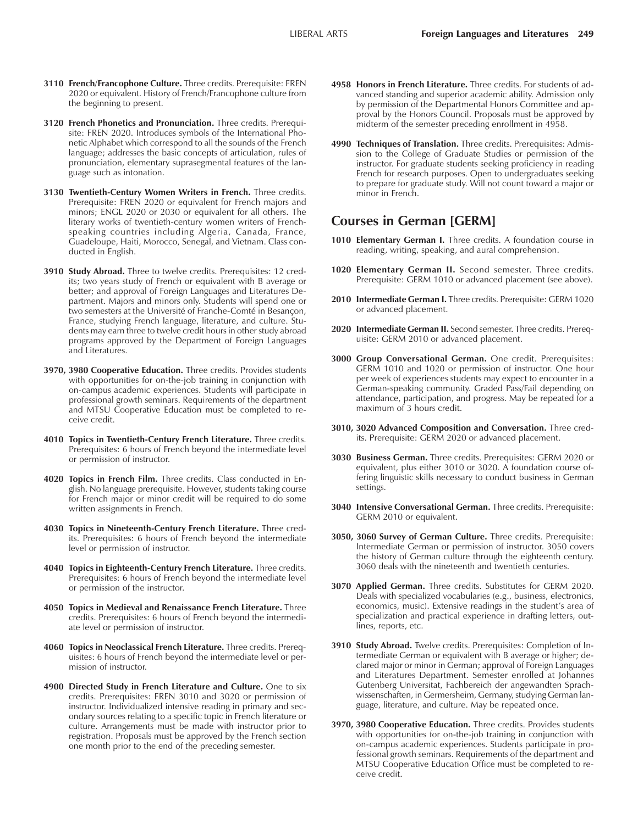- **3110 French/Francophone Culture.** Three credits. Prerequisite: FREN 2020 or equivalent. History of French/Francophone culture from the beginning to present.
- **3120 French Phonetics and Pronunciation.** Three credits. Prerequisite: FREN 2020. Introduces symbols of the International Phonetic Alphabet which correspond to all the sounds of the French language; addresses the basic concepts of articulation, rules of pronunciation, elementary suprasegmental features of the language such as intonation.
- **3130 Twentieth-Century Women Writers in French.** Three credits. Prerequisite: FREN 2020 or equivalent for French majors and minors; ENGL 2020 or 2030 or equivalent for all others. The literary works of twentieth-century women writers of Frenchspeaking countries including Algeria, Canada, France, Guadeloupe, Haiti, Morocco, Senegal, and Vietnam. Class conducted in English.
- **3910 Study Abroad.** Three to twelve credits. Prerequisites: 12 credits; two years study of French or equivalent with B average or better; and approval of Foreign Languages and Literatures Department. Majors and minors only. Students will spend one or two semesters at the Université of Franche-Comté in Besançon, France, studying French language, literature, and culture. Students may earn three to twelve credit hours in other study abroad programs approved by the Department of Foreign Languages and Literatures.
- **3970, 3980 Cooperative Education.** Three credits. Provides students with opportunities for on-the-job training in conjunction with on-campus academic experiences. Students will participate in professional growth seminars. Requirements of the department and MTSU Cooperative Education must be completed to receive credit.
- **4010 Topics in Twentieth-Century French Literature.** Three credits. Prerequisites: 6 hours of French beyond the intermediate level or permission of instructor.
- **4020 Topics in French Film.** Three credits. Class conducted in English. No language prerequisite. However, students taking course for French major or minor credit will be required to do some written assignments in French.
- **4030 Topics in Nineteenth-Century French Literature.** Three credits. Prerequisites: 6 hours of French beyond the intermediate level or permission of instructor.
- **4040 Topics in Eighteenth-Century French Literature.** Three credits. Prerequisites: 6 hours of French beyond the intermediate level or permission of the instructor.
- **4050 Topics in Medieval and Renaissance French Literature.** Three credits. Prerequisites: 6 hours of French beyond the intermediate level or permission of instructor.
- **4060 Topics in Neoclassical French Literature.** Three credits. Prerequisites: 6 hours of French beyond the intermediate level or permission of instructor.
- **4900 Directed Study in French Literature and Culture.** One to six credits. Prerequisites: FREN 3010 and 3020 or permission of instructor. Individualized intensive reading in primary and secondary sources relating to a specific topic in French literature or culture. Arrangements must be made with instructor prior to registration. Proposals must be approved by the French section one month prior to the end of the preceding semester.
- **4958 Honors in French Literature.** Three credits. For students of advanced standing and superior academic ability. Admission only by permission of the Departmental Honors Committee and approval by the Honors Council. Proposals must be approved by midterm of the semester preceding enrollment in 4958.
- **4990 Techniques of Translation.** Three credits. Prerequisites: Admission to the College of Graduate Studies or permission of the instructor. For graduate students seeking proficiency in reading French for research purposes. Open to undergraduates seeking to prepare for graduate study. Will not count toward a major or minor in French.

# **Courses in German [GERM]**

- **1010 Elementary German I.** Three credits. A foundation course in reading, writing, speaking, and aural comprehension.
- **1020 Elementary German II.** Second semester. Three credits. Prerequisite: GERM 1010 or advanced placement (see above).
- **2010 Intermediate German I.** Three credits. Prerequisite: GERM 1020 or advanced placement.
- **2020 Intermediate German II.** Second semester. Three credits. Prerequisite: GERM 2010 or advanced placement.
- **3000 Group Conversational German.** One credit. Prerequisites: GERM 1010 and 1020 or permission of instructor. One hour per week of experiences students may expect to encounter in a German-speaking community. Graded Pass/Fail depending on attendance, participation, and progress. May be repeated for a maximum of 3 hours credit.
- **3010, 3020 Advanced Composition and Conversation.** Three credits. Prerequisite: GERM 2020 or advanced placement.
- **3030 Business German.** Three credits. Prerequisites: GERM 2020 or equivalent, plus either 3010 or 3020. A foundation course offering linguistic skills necessary to conduct business in German settings.
- **3040 Intensive Conversational German.** Three credits. Prerequisite: GERM 2010 or equivalent.
- **3050, 3060 Survey of German Culture.** Three credits. Prerequisite: Intermediate German or permission of instructor. 3050 covers the history of German culture through the eighteenth century. 3060 deals with the nineteenth and twentieth centuries.
- **3070 Applied German.** Three credits. Substitutes for GERM 2020. Deals with specialized vocabularies (e.g., business, electronics, economics, music). Extensive readings in the student's area of specialization and practical experience in drafting letters, outlines, reports, etc.
- **3910 Study Abroad.** Twelve credits. Prerequisites: Completion of Intermediate German or equivalent with B average or higher; declared major or minor in German; approval of Foreign Languages and Literatures Department. Semester enrolled at Johannes Gutenberg Universitat, Fachbereich der angewandten Sprachwissenschaften, in Germersheim, Germany, studying German language, literature, and culture. May be repeated once.
- **3970, 3980 Cooperative Education.** Three credits. Provides students with opportunities for on-the-job training in conjunction with on-campus academic experiences. Students participate in professional growth seminars. Requirements of the department and MTSU Cooperative Education Office must be completed to receive credit.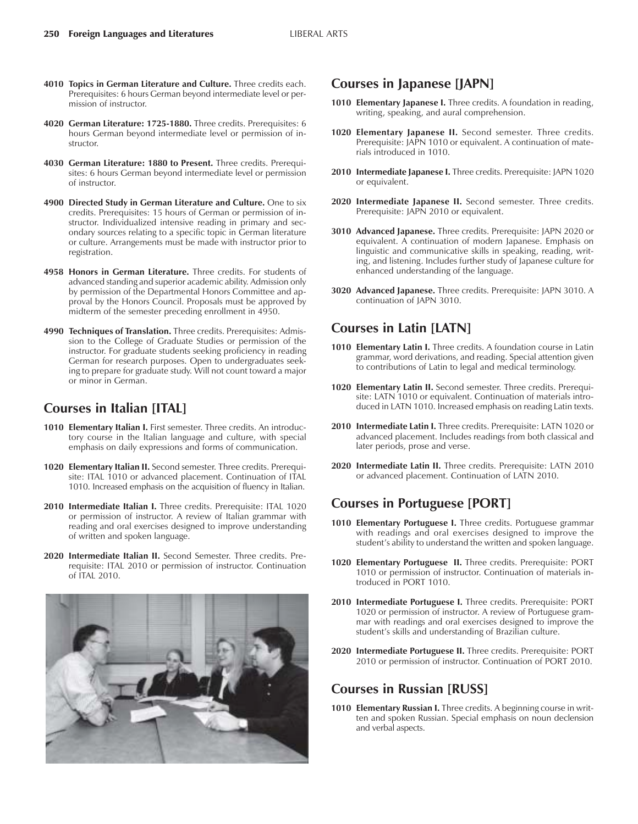- **4010 Topics in German Literature and Culture.** Three credits each. Prerequisites: 6 hours German beyond intermediate level or permission of instructor.
- **4020 German Literature: 1725-1880.** Three credits. Prerequisites: 6 hours German beyond intermediate level or permission of instructor.
- **4030 German Literature: 1880 to Present.** Three credits. Prerequisites: 6 hours German beyond intermediate level or permission of instructor.
- **4900 Directed Study in German Literature and Culture.** One to six credits. Prerequisites: 15 hours of German or permission of instructor. Individualized intensive reading in primary and secondary sources relating to a specific topic in German literature or culture. Arrangements must be made with instructor prior to registration.
- **4958 Honors in German Literature.** Three credits. For students of advanced standing and superior academic ability. Admission only by permission of the Departmental Honors Committee and approval by the Honors Council. Proposals must be approved by midterm of the semester preceding enrollment in 4950.
- **4990 Techniques of Translation.** Three credits. Prerequisites: Admission to the College of Graduate Studies or permission of the instructor. For graduate students seeking proficiency in reading German for research purposes. Open to undergraduates seeking to prepare for graduate study. Will not count toward a major or minor in German.

# **Courses in Italian [ITAL]**

- **1010 Elementary Italian I.** First semester. Three credits. An introductory course in the Italian language and culture, with special emphasis on daily expressions and forms of communication.
- **1020 Elementary Italian II.** Second semester. Three credits. Prerequisite: ITAL 1010 or advanced placement. Continuation of ITAL 1010. Increased emphasis on the acquisition of fluency in Italian.
- **2010 Intermediate Italian I.** Three credits. Prerequisite: ITAL 1020 or permission of instructor. A review of Italian grammar with reading and oral exercises designed to improve understanding of written and spoken language.
- **2020 Intermediate Italian II.** Second Semester. Three credits. Prerequisite: ITAL 2010 or permission of instructor. Continuation of ITAL 2010.



## **Courses in Japanese [JAPN]**

- **1010 Elementary Japanese I.** Three credits. A foundation in reading, writing, speaking, and aural comprehension.
- **1020 Elementary Japanese II.** Second semester. Three credits. Prerequisite: JAPN 1010 or equivalent. A continuation of materials introduced in 1010.
- **2010 Intermediate Japanese I.** Three credits. Prerequisite: JAPN 1020 or equivalent.
- **2020 Intermediate Japanese II.** Second semester. Three credits. Prerequisite: JAPN 2010 or equivalent.
- **3010 Advanced Japanese.** Three credits. Prerequisite: JAPN 2020 or equivalent. A continuation of modern Japanese. Emphasis on linguistic and communicative skills in speaking, reading, writing, and listening. Includes further study of Japanese culture for enhanced understanding of the language.
- **3020 Advanced Japanese.** Three credits. Prerequisite: JAPN 3010. A continuation of JAPN 3010.

# **Courses in Latin [LATN]**

- 1010 **Elementary Latin I.** Three credits. A foundation course in Latin grammar, word derivations, and reading. Special attention given to contributions of Latin to legal and medical terminology.
- **1020 Elementary Latin II.** Second semester. Three credits. Prerequisite: LATN 1010 or equivalent. Continuation of materials introduced in LATN 1010. Increased emphasis on reading Latin texts.
- 2010 Intermediate Latin I. Three credits. Prerequisite: LATN 1020 or advanced placement. Includes readings from both classical and later periods, prose and verse.
- **2020 Intermediate Latin II.** Three credits. Prerequisite: LATN 2010 or advanced placement. Continuation of LATN 2010.

# **Courses in Portuguese [PORT]**

- **1010 Elementary Portuguese I.** Three credits. Portuguese grammar with readings and oral exercises designed to improve the student's ability to understand the written and spoken language.
- **1020 Elementary Portuguese II.** Three credits. Prerequisite: PORT 1010 or permission of instructor. Continuation of materials introduced in PORT 1010.
- **2010 Intermediate Portuguese I.** Three credits. Prerequisite: PORT 1020 or permission of instructor. A review of Portuguese grammar with readings and oral exercises designed to improve the student's skills and understanding of Brazilian culture.
- **2020 Intermediate Portuguese II.** Three credits. Prerequisite: PORT 2010 or permission of instructor. Continuation of PORT 2010.

## **Courses in Russian [RUSS]**

1010 **Elementary Russian I.** Three credits. A beginning course in written and spoken Russian. Special emphasis on noun declension and verbal aspects.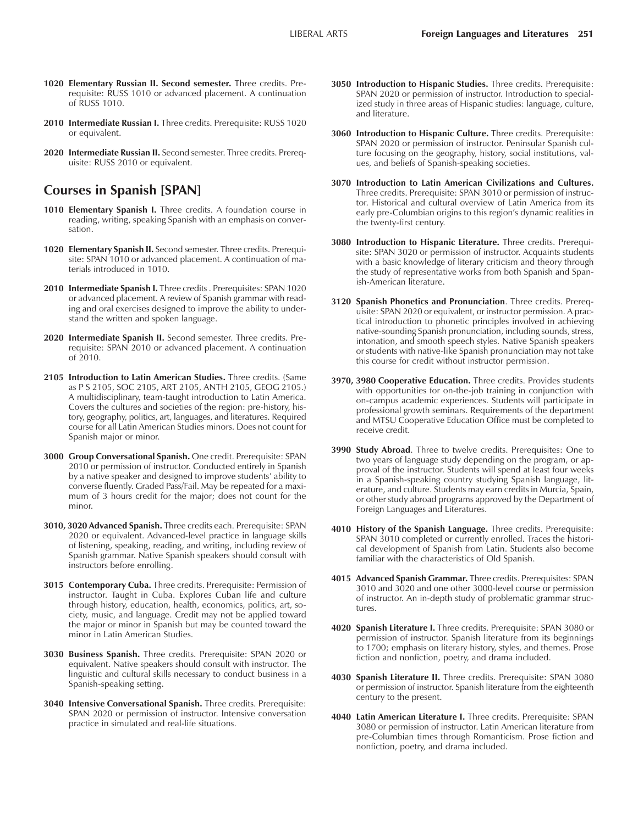- **1020 Elementary Russian II. Second semester.** Three credits. Prerequisite: RUSS 1010 or advanced placement. A continuation of RUSS 1010.
- **2010 Intermediate Russian I.** Three credits. Prerequisite: RUSS 1020 or equivalent.
- **2020 Intermediate Russian II.** Second semester. Three credits. Prerequisite: RUSS 2010 or equivalent.

# **Courses in Spanish [SPAN]**

- **1010 Elementary Spanish I.** Three credits. A foundation course in reading, writing, speaking Spanish with an emphasis on conversation.
- **1020 Elementary Spanish II.** Second semester. Three credits. Prerequisite: SPAN 1010 or advanced placement. A continuation of materials introduced in 1010.
- **2010 Intermediate Spanish I.** Three credits . Prerequisites: SPAN 1020 or advanced placement. A review of Spanish grammar with reading and oral exercises designed to improve the ability to understand the written and spoken language.
- **2020 Intermediate Spanish II.** Second semester. Three credits. Prerequisite: SPAN 2010 or advanced placement. A continuation of 2010.
- **2105 Introduction to Latin American Studies.** Three credits. (Same as P S 2105, SOC 2105, ART 2105, ANTH 2105, GEOG 2105.) A multidisciplinary, team-taught introduction to Latin America. Covers the cultures and societies of the region: pre-history, history, geography, politics, art, languages, and literatures. Required course for all Latin American Studies minors. Does not count for Spanish major or minor.
- **3000 Group Conversational Spanish.** One credit. Prerequisite: SPAN 2010 or permission of instructor. Conducted entirely in Spanish by a native speaker and designed to improve students' ability to converse fluently. Graded Pass/Fail. May be repeated for a maximum of 3 hours credit for the major; does not count for the minor.
- **3010, 3020 Advanced Spanish.** Three credits each. Prerequisite: SPAN 2020 or equivalent. Advanced-level practice in language skills of listening, speaking, reading, and writing, including review of Spanish grammar. Native Spanish speakers should consult with instructors before enrolling.
- **3015 Contemporary Cuba.** Three credits. Prerequisite: Permission of instructor. Taught in Cuba. Explores Cuban life and culture through history, education, health, economics, politics, art, society, music, and language. Credit may not be applied toward the major or minor in Spanish but may be counted toward the minor in Latin American Studies.
- **3030 Business Spanish.** Three credits. Prerequisite: SPAN 2020 or equivalent. Native speakers should consult with instructor. The linguistic and cultural skills necessary to conduct business in a Spanish-speaking setting.
- **3040 Intensive Conversational Spanish.** Three credits. Prerequisite: SPAN 2020 or permission of instructor. Intensive conversation practice in simulated and real-life situations.
- **3050 Introduction to Hispanic Studies.** Three credits. Prerequisite: SPAN 2020 or permission of instructor. Introduction to specialized study in three areas of Hispanic studies: language, culture, and literature.
- **3060 Introduction to Hispanic Culture.** Three credits. Prerequisite: SPAN 2020 or permission of instructor. Peninsular Spanish culture focusing on the geography, history, social institutions, values, and beliefs of Spanish-speaking societies.
- **3070 Introduction to Latin American Civilizations and Cultures.** Three credits. Prerequisite: SPAN 3010 or permission of instructor. Historical and cultural overview of Latin America from its early pre-Columbian origins to this region's dynamic realities in the twenty-first century.
- **3080 Introduction to Hispanic Literature.** Three credits. Prerequisite: SPAN 3020 or permission of instructor. Acquaints students with a basic knowledge of literary criticism and theory through the study of representative works from both Spanish and Spanish-American literature.
- **3120 Spanish Phonetics and Pronunciation**. Three credits. Prerequisite: SPAN 2020 or equivalent, or instructor permission. A practical introduction to phonetic principles involved in achieving native-sounding Spanish pronunciation, including sounds, stress, intonation, and smooth speech styles. Native Spanish speakers or students with native-like Spanish pronunciation may not take this course for credit without instructor permission.
- **3970, 3980 Cooperative Education.** Three credits. Provides students with opportunities for on-the-job training in conjunction with on-campus academic experiences. Students will participate in professional growth seminars. Requirements of the department and MTSU Cooperative Education Office must be completed to receive credit.
- **3990 Study Abroad**. Three to twelve credits. Prerequisites: One to two years of language study depending on the program, or approval of the instructor. Students will spend at least four weeks in a Spanish-speaking country studying Spanish language, literature, and culture. Students may earn credits in Murcia, Spain, or other study abroad programs approved by the Department of Foreign Languages and Literatures.
- **4010 History of the Spanish Language.** Three credits. Prerequisite: SPAN 3010 completed or currently enrolled. Traces the historical development of Spanish from Latin. Students also become familiar with the characteristics of Old Spanish.
- **4015 Advanced Spanish Grammar.** Three credits. Prerequisites: SPAN 3010 and 3020 and one other 3000-level course or permission of instructor. An in-depth study of problematic grammar structures.
- **4020 Spanish Literature I.** Three credits. Prerequisite: SPAN 3080 or permission of instructor. Spanish literature from its beginnings to 1700; emphasis on literary history, styles, and themes. Prose fiction and nonfiction, poetry, and drama included.
- **4030 Spanish Literature II.** Three credits. Prerequisite: SPAN 3080 or permission of instructor. Spanish literature from the eighteenth century to the present.
- **4040 Latin American Literature I.** Three credits. Prerequisite: SPAN 3080 or permission of instructor. Latin American literature from pre-Columbian times through Romanticism. Prose fiction and nonfiction, poetry, and drama included.